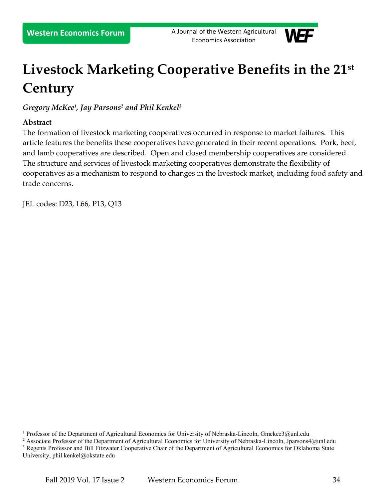**Western Economics Forum** A Journal of the Western Agricultural Economics Association



# **Livestock Marketing Cooperative Benefits in the 21 st Century**

*Gregory McKee[1](#page-0-0) , Jay Parsons[2](#page-0-1) and Phil Kenkel[3](#page-0-2)*

## **Abstract**

The formation of livestock marketing cooperatives occurred in response to market failures. This article features the benefits these cooperatives have generated in their recent operations. Pork, beef, and lamb cooperatives are described. Open and closed membership cooperatives are considered. The structure and services of livestock marketing cooperatives demonstrate the flexibility of cooperatives as a mechanism to respond to changes in the livestock market, including food safety and trade concerns.

JEL codes: D23, L66, P13, Q13

<span id="page-0-0"></span><sup>&</sup>lt;sup>1</sup> Professor of the Department of Agricultural Economics for University of Nebraska-Lincoln, Gmckee3@unl.edu

<span id="page-0-2"></span><span id="page-0-1"></span><sup>&</sup>lt;sup>2</sup> Associate Professor of the Department of Agricultural Economics for University of Nebraska-Lincoln, Jparsons4@unl.edu <sup>3</sup> Regents Professor and Bill Fitzwater Cooperative Chair of the Department of Agricultural Economics for Oklahoma State University, phil.kenkel@okstate.edu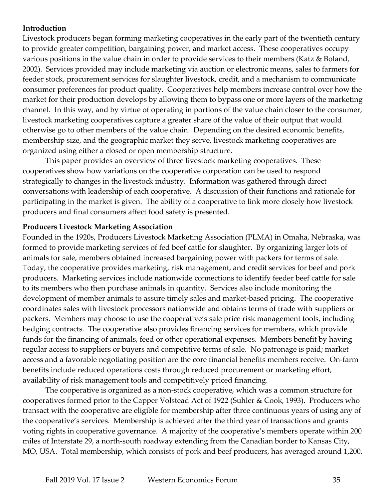## **Introduction**

Livestock producers began forming marketing cooperatives in the early part of the twentieth century to provide greater competition, bargaining power, and market access. These cooperatives occupy various positions in the value chain in order to provide services to their members (Katz & Boland, 2002). Services provided may include marketing via auction or electronic means, sales to farmers for feeder stock, procurement services for slaughter livestock, credit, and a mechanism to communicate consumer preferences for product quality. Cooperatives help members increase control over how the market for their production develops by allowing them to bypass one or more layers of the marketing channel. In this way, and by virtue of operating in portions of the value chain closer to the consumer, livestock marketing cooperatives capture a greater share of the value of their output that would otherwise go to other members of the value chain. Depending on the desired economic benefits, membership size, and the geographic market they serve, livestock marketing cooperatives are organized using either a closed or open membership structure.

This paper provides an overview of three livestock marketing cooperatives. These cooperatives show how variations on the cooperative corporation can be used to respond strategically to changes in the livestock industry. Information was gathered through direct conversations with leadership of each cooperative. A discussion of their functions and rationale for participating in the market is given. The ability of a cooperative to link more closely how livestock producers and final consumers affect food safety is presented.

#### **Producers Livestock Marketing Association**

Founded in the 1920s, Producers Livestock Marketing Association (PLMA) in Omaha, Nebraska, was formed to provide marketing services of fed beef cattle for slaughter. By organizing larger lots of animals for sale, members obtained increased bargaining power with packers for terms of sale. Today, the cooperative provides marketing, risk management, and credit services for beef and pork producers. Marketing services include nationwide connections to identify feeder beef cattle for sale to its members who then purchase animals in quantity. Services also include monitoring the development of member animals to assure timely sales and market-based pricing. The cooperative coordinates sales with livestock processors nationwide and obtains terms of trade with suppliers or packers. Members may choose to use the cooperative's sale price risk management tools, including hedging contracts. The cooperative also provides financing services for members, which provide funds for the financing of animals, feed or other operational expenses. Members benefit by having regular access to suppliers or buyers and competitive terms of sale. No patronage is paid; market access and a favorable negotiating position are the core financial benefits members receive. On-farm benefits include reduced operations costs through reduced procurement or marketing effort, availability of risk management tools and competitively priced financing.

The cooperative is organized as a non-stock cooperative, which was a common structure for cooperatives formed prior to the Capper Volstead Act of 1922 (Suhler & Cook, 1993). Producers who transact with the cooperative are eligible for membership after three continuous years of using any of the cooperative's services. Membership is achieved after the third year of transactions and grants voting rights in cooperative governance. A majority of the cooperative's members operate within 200 miles of Interstate 29, a north-south roadway extending from the Canadian border to Kansas City, MO, USA. Total membership, which consists of pork and beef producers, has averaged around 1,200.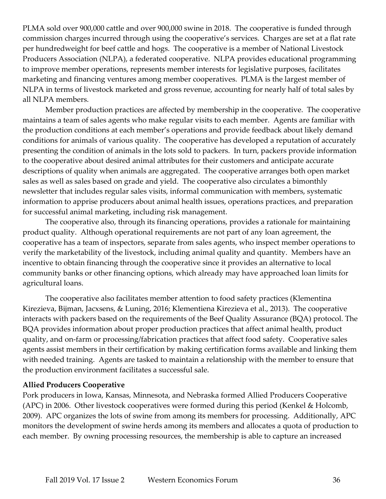PLMA sold over 900,000 cattle and over 900,000 swine in 2018. The cooperative is funded through commission charges incurred through using the cooperative's services. Charges are set at a flat rate per hundredweight for beef cattle and hogs. The cooperative is a member of National Livestock Producers Association (NLPA), a federated cooperative. NLPA provides educational programming to improve member operations, represents member interests for legislative purposes, facilitates marketing and financing ventures among member cooperatives. PLMA is the largest member of NLPA in terms of livestock marketed and gross revenue, accounting for nearly half of total sales by all NLPA members.

Member production practices are affected by membership in the cooperative. The cooperative maintains a team of sales agents who make regular visits to each member. Agents are familiar with the production conditions at each member's operations and provide feedback about likely demand conditions for animals of various quality. The cooperative has developed a reputation of accurately presenting the condition of animals in the lots sold to packers. In turn, packers provide information to the cooperative about desired animal attributes for their customers and anticipate accurate descriptions of quality when animals are aggregated. The cooperative arranges both open market sales as well as sales based on grade and yield. The cooperative also circulates a bimonthly newsletter that includes regular sales visits, informal communication with members, systematic information to apprise producers about animal health issues, operations practices, and preparation for successful animal marketing, including risk management.

The cooperative also, through its financing operations, provides a rationale for maintaining product quality. Although operational requirements are not part of any loan agreement, the cooperative has a team of inspectors, separate from sales agents, who inspect member operations to verify the marketability of the livestock, including animal quality and quantity. Members have an incentive to obtain financing through the cooperative since it provides an alternative to local community banks or other financing options, which already may have approached loan limits for agricultural loans.

The cooperative also facilitates member attention to food safety practices (Klementina Kirezieva, Bijman, Jacxsens, & Luning, 2016; Klementiena Kirezieva et al., 2013). The cooperative interacts with packers based on the requirements of the Beef Quality Assurance (BQA) protocol. The BQA provides information about proper production practices that affect animal health, product quality, and on-farm or processing/fabrication practices that affect food safety. Cooperative sales agents assist members in their certification by making certification forms available and linking them with needed training. Agents are tasked to maintain a relationship with the member to ensure that the production environment facilitates a successful sale.

#### **Allied Producers Cooperative**

Pork producers in Iowa, Kansas, Minnesota, and Nebraska formed Allied Producers Cooperative (APC) in 2006. Other livestock cooperatives were formed during this period (Kenkel & Holcomb, 2009). APC organizes the lots of swine from among its members for processing. Additionally, APC monitors the development of swine herds among its members and allocates a quota of production to each member. By owning processing resources, the membership is able to capture an increased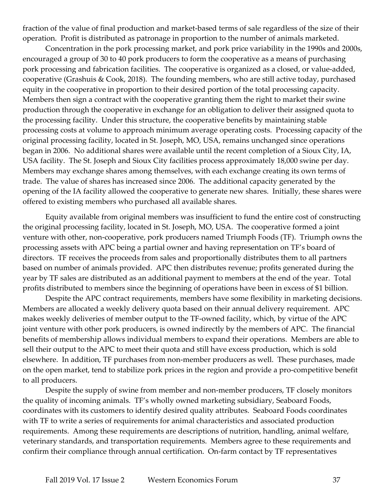fraction of the value of final production and market-based terms of sale regardless of the size of their operation. Profit is distributed as patronage in proportion to the number of animals marketed.

Concentration in the pork processing market, and pork price variability in the 1990s and 2000s, encouraged a group of 30 to 40 pork producers to form the cooperative as a means of purchasing pork processing and fabrication facilities. The cooperative is organized as a closed, or value-added, cooperative (Grashuis & Cook, 2018). The founding members, who are still active today, purchased equity in the cooperative in proportion to their desired portion of the total processing capacity. Members then sign a contract with the cooperative granting them the right to market their swine production through the cooperative in exchange for an obligation to deliver their assigned quota to the processing facility. Under this structure, the cooperative benefits by maintaining stable processing costs at volume to approach minimum average operating costs. Processing capacity of the original processing facility, located in St. Joseph, MO, USA, remains unchanged since operations began in 2006. No additional shares were available until the recent completion of a Sioux City, IA, USA facility. The St. Joseph and Sioux City facilities process approximately 18,000 swine per day. Members may exchange shares among themselves, with each exchange creating its own terms of trade. The value of shares has increased since 2006. The additional capacity generated by the opening of the IA facility allowed the cooperative to generate new shares. Initially, these shares were offered to existing members who purchased all available shares.

Equity available from original members was insufficient to fund the entire cost of constructing the original processing facility, located in St. Joseph, MO, USA. The cooperative formed a joint venture with other, non-cooperative, pork producers named Triumph Foods (TF). Triumph owns the processing assets with APC being a partial owner and having representation on TF's board of directors. TF receives the proceeds from sales and proportionally distributes them to all partners based on number of animals provided. APC then distributes revenue; profits generated during the year by TF sales are distributed as an additional payment to members at the end of the year. Total profits distributed to members since the beginning of operations have been in excess of \$1 billion.

Despite the APC contract requirements, members have some flexibility in marketing decisions. Members are allocated a weekly delivery quota based on their annual delivery requirement. APC makes weekly deliveries of member output to the TF-owned facility, which, by virtue of the APC joint venture with other pork producers, is owned indirectly by the members of APC. The financial benefits of membership allows individual members to expand their operations. Members are able to sell their output to the APC to meet their quota and still have excess production, which is sold elsewhere. In addition, TF purchases from non-member producers as well. These purchases, made on the open market, tend to stabilize pork prices in the region and provide a pro-competitive benefit to all producers.

Despite the supply of swine from member and non-member producers, TF closely monitors the quality of incoming animals. TF's wholly owned marketing subsidiary, Seaboard Foods, coordinates with its customers to identify desired quality attributes. Seaboard Foods coordinates with TF to write a series of requirements for animal characteristics and associated production requirements. Among these requirements are descriptions of nutrition, handling, animal welfare, veterinary standards, and transportation requirements. Members agree to these requirements and confirm their compliance through annual certification. On-farm contact by TF representatives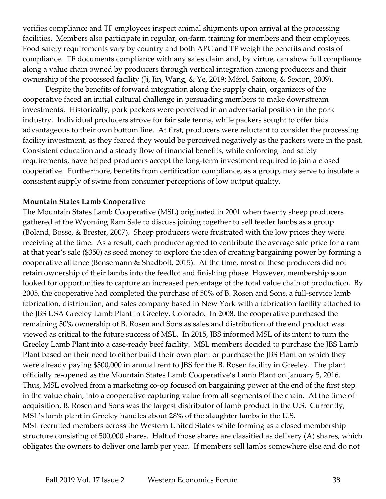verifies compliance and TF employees inspect animal shipments upon arrival at the processing facilities. Members also participate in regular, on-farm training for members and their employees. Food safety requirements vary by country and both APC and TF weigh the benefits and costs of compliance. TF documents compliance with any sales claim and, by virtue, can show full compliance along a value chain owned by producers through vertical integration among producers and their ownership of the processed facility (Ji, Jin, Wang, & Ye, 2019; Mérel, Saitone, & Sexton, 2009).

Despite the benefits of forward integration along the supply chain, organizers of the cooperative faced an initial cultural challenge in persuading members to make downstream investments. Historically, pork packers were perceived in an adversarial position in the pork industry. Individual producers strove for fair sale terms, while packers sought to offer bids advantageous to their own bottom line. At first, producers were reluctant to consider the processing facility investment, as they feared they would be perceived negatively as the packers were in the past. Consistent education and a steady flow of financial benefits, while enforcing food safety requirements, have helped producers accept the long-term investment required to join a closed cooperative. Furthermore, benefits from certification compliance, as a group, may serve to insulate a consistent supply of swine from consumer perceptions of low output quality.

#### **Mountain States Lamb Cooperative**

The Mountain States Lamb Cooperative (MSL) originated in 2001 when twenty sheep producers gathered at the Wyoming Ram Sale to discuss joining together to sell feeder lambs as a group (Boland, Bosse, & Brester, 2007). Sheep producers were frustrated with the low prices they were receiving at the time. As a result, each producer agreed to contribute the average sale price for a ram at that year's sale (\$350) as seed money to explore the idea of creating bargaining power by forming a cooperative alliance (Bensemann & Shadbolt, 2015). At the time, most of these producers did not retain ownership of their lambs into the feedlot and finishing phase. However, membership soon looked for opportunities to capture an increased percentage of the total value chain of production. By 2005, the cooperative had completed the purchase of 50% of B. Rosen and Sons, a full-service lamb fabrication, distribution, and sales company based in New York with a fabrication facility attached to the JBS USA Greeley Lamb Plant in Greeley, Colorado. In 2008, the cooperative purchased the remaining 50% ownership of B. Rosen and Sons as sales and distribution of the end product was viewed as critical to the future success of MSL. In 2015, JBS informed MSL of its intent to turn the Greeley Lamb Plant into a case-ready beef facility. MSL members decided to purchase the JBS Lamb Plant based on their need to either build their own plant or purchase the JBS Plant on which they were already paying \$500,000 in annual rent to JBS for the B. Rosen facility in Greeley. The plant officially re-opened as the Mountain States Lamb Cooperative's Lamb Plant on January 5, 2016. Thus, MSL evolved from a marketing co-op focused on bargaining power at the end of the first step in the value chain, into a cooperative capturing value from all segments of the chain. At the time of acquisition, B. Rosen and Sons was the largest distributor of lamb product in the U.S. Currently, MSL's lamb plant in Greeley handles about 28% of the slaughter lambs in the U.S. MSL recruited members across the Western United States while forming as a closed membership structure consisting of 500,000 shares. Half of those shares are classified as delivery (A) shares, which obligates the owners to deliver one lamb per year. If members sell lambs somewhere else and do not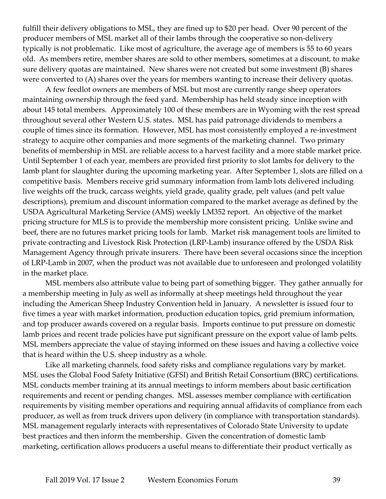fulfill their delivery obligations to MSL, they are fined up to \$20 per head. Over 90 percent of the producer members of MSL market all of their lambs through the cooperative so non-delivery typically is not problematic. Like most of agriculture, the average age of members is 55 to 60 years old. As members retire, member shares are sold to other members, sometimes at a discount, to make sure delivery quotas are maintained. New shares were not created but some investment (B) shares were converted to (A) shares over the years for members wanting to increase their delivery quotas.

A few feedlot owners are members of MSL but most are currently range sheep operators maintaining ownership through the feed yard. Membership has held steady since inception with about 145 total members. Approximately 100 of these members are in Wyoming with the rest spread throughout several other Western U.S. states. MSL has paid patronage dividends to members a couple of times since its formation. However, MSL has most consistently employed a re-investment strategy to acquire other companies and more segments of the marketing channel. Two primary benefits of membership in MSL are reliable access to a harvest facility and a more stable market price. Until September 1 of each year, members are provided first priority to slot lambs for delivery to the lamb plant for slaughter during the upcoming marketing year. After September 1, slots are filled on a competitive basis. Members receive grid summary information from lamb lots delivered including live weights off the truck, carcass weights, yield grade, quality grade, pelt values (and pelt value descriptions), premium and discount information compared to the market average as defined by the USDA Agricultural Marketing Service (AMS) weekly LM352 report. An objective of the market pricing structure for MLS is to provide the membership more consistent pricing. Unlike swine and beef, there are no futures market pricing tools for lamb. Market risk management tools are limited to private contracting and Livestock Risk Protection (LRP-Lamb) insurance offered by the USDA Risk Management Agency through private insurers. There have been several occasions since the inception of LRP-Lamb in 2007, when the product was not available due to unforeseen and prolonged volatility in the market place.

MSL members also attribute value to being part of something bigger. They gather annually for a membership meeting in July as well as informally at sheep meetings held throughout the year including the American Sheep Industry Convention held in January. A newsletter is issued four to five times a year with market information, production education topics, grid premium information, and top producer awards covered on a regular basis. Imports continue to put pressure on domestic lamb prices and recent trade policies have put significant pressure on the export value of lamb pelts. MSL members appreciate the value of staying informed on these issues and having a collective voice that is heard within the U.S. sheep industry as a whole.

Like all marketing channels, food safety risks and compliance regulations vary by market. MSL uses the Global Food Safety Initiative (GFSI) and British Retail Consortium (BRC) certifications. MSL conducts member training at its annual meetings to inform members about basic certification requirements and recent or pending changes. MSL assesses member compliance with certification requirements by visiting member operations and requiring annual affidavits of compliance from each producer, as well as from truck drivers upon delivery (in compliance with transportation standards). MSL management regularly interacts with representatives of Colorado State University to update best practices and then inform the membership. Given the concentration of domestic lamb marketing, certification allows producers a useful means to differentiate their product vertically as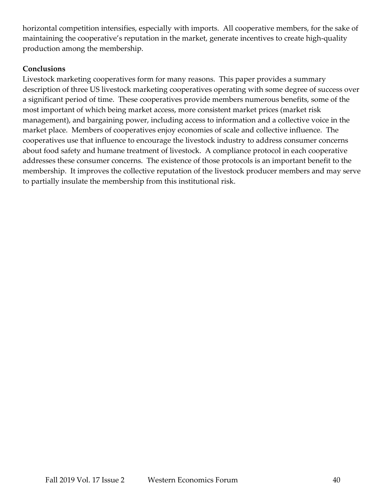horizontal competition intensifies, especially with imports. All cooperative members, for the sake of maintaining the cooperative's reputation in the market, generate incentives to create high-quality production among the membership.

# **Conclusions**

Livestock marketing cooperatives form for many reasons. This paper provides a summary description of three US livestock marketing cooperatives operating with some degree of success over a significant period of time. These cooperatives provide members numerous benefits, some of the most important of which being market access, more consistent market prices (market risk management), and bargaining power, including access to information and a collective voice in the market place. Members of cooperatives enjoy economies of scale and collective influence. The cooperatives use that influence to encourage the livestock industry to address consumer concerns about food safety and humane treatment of livestock. A compliance protocol in each cooperative addresses these consumer concerns. The existence of those protocols is an important benefit to the membership. It improves the collective reputation of the livestock producer members and may serve to partially insulate the membership from this institutional risk.